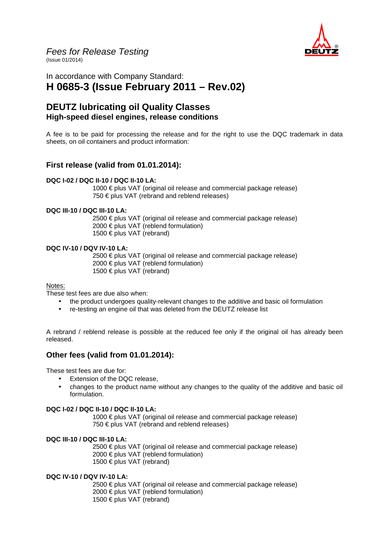

Fees for Release Testing (Issue 01/2014)

In accordance with Company Standard: **H 0685-3 (Issue February 2011 – Rev.02)**

# **DEUTZ lubricating oil Quality Classes High-speed diesel engines, release conditions**

A fee is to be paid for processing the release and for the right to use the DQC trademark in data sheets, on oil containers and product information:

## **First release (valid from 01.01.2014):**

#### **DQC I-02 / DQC II-10 / DQC II-10 LA:**

1000 € plus VAT (original oil release and commercial package release) 750 € plus VAT (rebrand and reblend releases)

#### **DQC III-10 / DQC III-10 LA:**

 2500 € plus VAT (original oil release and commercial package release) 2000 € plus VAT (reblend formulation) 1500 € plus VAT (rebrand)

#### **DQC IV-10 / DQV IV-10 LA:**

 2500 € plus VAT (original oil release and commercial package release) 2000 € plus VAT (reblend formulation) 1500 € plus VAT (rebrand)

#### Notes:

These test fees are due also when:

- the product undergoes quality-relevant changes to the additive and basic oil formulation
- re-testing an engine oil that was deleted from the DEUTZ release list

A rebrand / reblend release is possible at the reduced fee only if the original oil has already been released.

## **Other fees (valid from 01.01.2014):**

These test fees are due for:

- Extension of the DQC release,
- changes to the product name without any changes to the quality of the additive and basic oil formulation.

#### **DQC I-02 / DQC II-10 / DQC II-10 LA:**

1000 € plus VAT (original oil release and commercial package release) 750 € plus VAT (rebrand and reblend releases)

#### **DQC III-10 / DQC III-10 LA:**

 2500 € plus VAT (original oil release and commercial package release) 2000 € plus VAT (reblend formulation) 1500 € plus VAT (rebrand)

#### **DQC IV-10 / DQV IV-10 LA:**

2500 € plus VAT (original oil release and commercial package release) 2000 € plus VAT (reblend formulation) 1500 € plus VAT (rebrand)